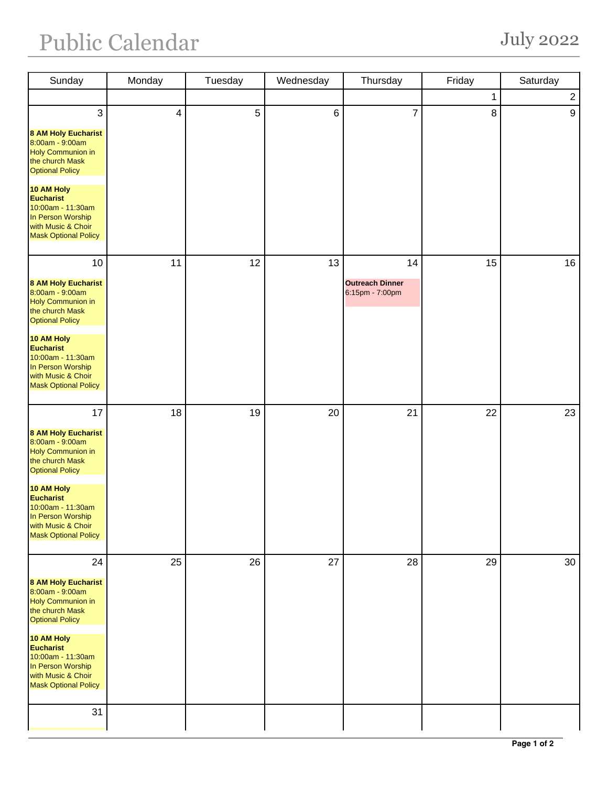## Public Calendar July 2022

| Sunday                                                                                                                                                                                                                                                                  | Monday                   | Tuesday | Wednesday | Thursday                                  | Friday | Saturday       |
|-------------------------------------------------------------------------------------------------------------------------------------------------------------------------------------------------------------------------------------------------------------------------|--------------------------|---------|-----------|-------------------------------------------|--------|----------------|
|                                                                                                                                                                                                                                                                         |                          |         |           |                                           | 1      | $\overline{2}$ |
| $\mathbf{3}$<br><b>8 AM Holy Eucharist</b><br>8:00am - 9:00am<br><b>Holy Communion in</b><br>the church Mask<br><b>Optional Policy</b><br>10 AM Holy<br><b>Eucharist</b><br>10:00am - 11:30am<br>In Person Worship<br>with Music & Choir<br><b>Mask Optional Policy</b> | $\overline{\mathcal{A}}$ | 5       | $\,6\,$   | $\overline{7}$                            | 8      | 9              |
| 10                                                                                                                                                                                                                                                                      | 11                       | 12      | 13        | 14                                        | 15     | 16             |
| <b>8 AM Holy Eucharist</b><br>8:00am - 9:00am<br><b>Holy Communion in</b><br>the church Mask<br><b>Optional Policy</b><br>10 AM Holy<br><b>Eucharist</b><br>10:00am - 11:30am<br>In Person Worship<br>with Music & Choir<br><b>Mask Optional Policy</b>                 |                          |         |           | <b>Outreach Dinner</b><br>6:15pm - 7:00pm |        |                |
| 17<br><b>8 AM Holy Eucharist</b><br>8:00am - 9:00am<br><b>Holy Communion in</b><br>the church Mask<br><b>Optional Policy</b><br>10 AM Holy<br><b>Eucharist</b><br>10:00am - 11:30am<br>In Person Worship<br>with Music & Choir<br><b>Mask Optional Policy</b>           | 18                       | 19      | 20        | 21                                        | 22     | 23             |
| 24<br><b>8 AM Holy Eucharist</b><br>8:00am - 9:00am<br><b>Holy Communion in</b><br>the church Mask<br><b>Optional Policy</b><br>10 AM Holy<br><b>Eucharist</b><br>10:00am - 11:30am<br>In Person Worship<br>with Music & Choir<br><b>Mask Optional Policy</b><br>31     | 25                       | 26      | 27        | 28                                        | 29     | 30             |
|                                                                                                                                                                                                                                                                         |                          |         |           |                                           |        |                |